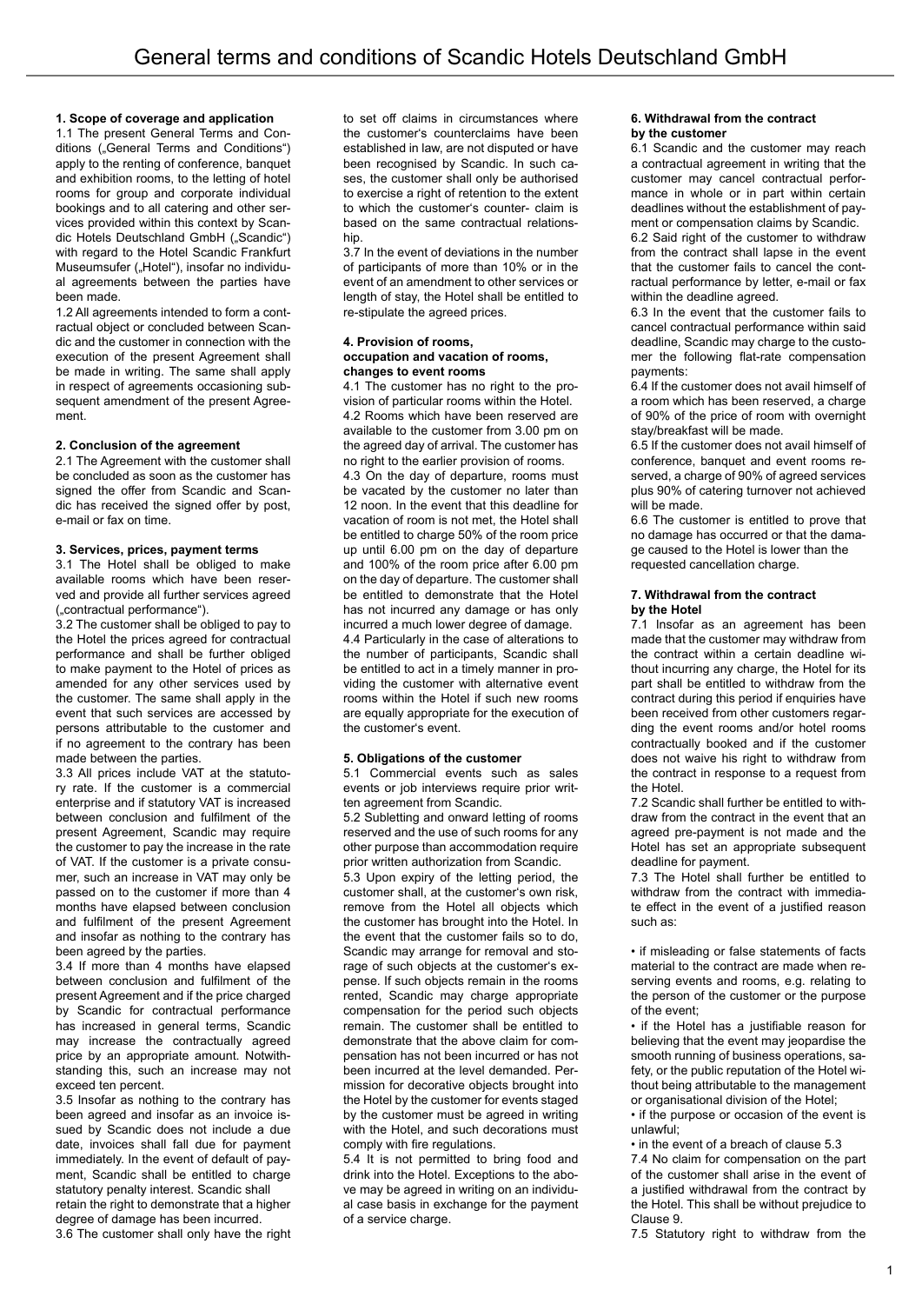## **1. Scope of coverage and application**

1.1 The present General Terms and Conditions ("General Terms and Conditions") apply to the renting of conference, banquet and exhibition rooms, to the letting of hotel rooms for group and corporate individual bookings and to all catering and other services provided within this context by Scandic Hotels Deutschland GmbH ("Scandic") with regard to the Hotel Scandic Frankfurt Museumsufer ("Hotel"), insofar no individual agreements between the parties have been made.

1.2 All agreements intended to form a contractual object or concluded between Scandic and the customer in connection with the execution of the present Agreement shall be made in writing. The same shall apply in respect of agreements occasioning subsequent amendment of the present Agreement.

## **2. Conclusion of the agreement**

2.1 The Agreement with the customer shall be concluded as soon as the customer has signed the offer from Scandic and Scandic has received the signed offer by post, e-mail or fax on time.

### **3. Services, prices, payment terms**

3.1 The Hotel shall be obliged to make available rooms which have been reserved and provide all further services agreed ("contractual performance").

3.2 The customer shall be obliged to pay to the Hotel the prices agreed for contractual performance and shall be further obliged to make payment to the Hotel of prices as amended for any other services used by the customer. The same shall apply in the event that such services are accessed by persons attributable to the customer and if no agreement to the contrary has been made between the parties.

3.3 All prices include VAT at the statutory rate. If the customer is a commercial enterprise and if statutory VAT is increased between conclusion and fulfilment of the present Agreement, Scandic may require the customer to pay the increase in the rate of VAT. If the customer is a private consumer, such an increase in VAT may only be passed on to the customer if more than 4 months have elapsed between conclusion and fulfilment of the present Agreement and insofar as nothing to the contrary has been agreed by the parties.

3.4 If more than 4 months have elapsed between conclusion and fulfilment of the present Agreement and if the price charged by Scandic for contractual performance has increased in general terms, Scandic may increase the contractually agreed price by an appropriate amount. Notwithstanding this, such an increase may not exceed ten percent.

3.5 Insofar as nothing to the contrary has been agreed and insofar as an invoice issued by Scandic does not include a due date, invoices shall fall due for payment immediately. In the event of default of payment, Scandic shall be entitled to charge statutory penalty interest. Scandic shall retain the right to demonstrate that a higher degree of damage has been incurred. 3.6 The customer shall only have the right

to set off claims in circumstances where the customer's counterclaims have been established in law, are not disputed or have been recognised by Scandic. In such cases, the customer shall only be authorised to exercise a right of retention to the extent to which the customer's counter- claim is based on the same contractual relationship.

3.7 In the event of deviations in the number of participants of more than 10% or in the event of an amendment to other services or length of stay, the Hotel shall be entitled to re-stipulate the agreed prices.

#### **4. Provision of rooms, occupation and vacation of rooms, changes to event rooms**

4.1 The customer has no right to the provision of particular rooms within the Hotel. 4.2 Rooms which have been reserved are available to the customer from 3.00 pm on the agreed day of arrival. The customer has no right to the earlier provision of rooms. 4.3 On the day of departure, rooms must be vacated by the customer no later than 12 noon. In the event that this deadline for vacation of room is not met, the Hotel shall be entitled to charge 50% of the room price up until 6.00 pm on the day of departure and 100% of the room price after 6.00 pm on the day of departure. The customer shall be entitled to demonstrate that the Hotel has not incurred any damage or has only incurred a much lower degree of damage. 4.4 Particularly in the case of alterations to the number of participants, Scandic shall be entitled to act in a timely manner in providing the customer with alternative event rooms within the Hotel if such new rooms are equally appropriate for the execution of the customer's event.

## **5. Obligations of the customer**

5.1 Commercial events such as sales events or job interviews require prior written agreement from Scandic.

5.2 Subletting and onward letting of rooms reserved and the use of such rooms for any other purpose than accommodation require prior written authorization from Scandic.

5.3 Upon expiry of the letting period, the customer shall, at the customer's own risk, remove from the Hotel all objects which the customer has brought into the Hotel. In the event that the customer fails so to do, Scandic may arrange for removal and storage of such objects at the customer's expense. If such objects remain in the rooms rented, Scandic may charge appropriate compensation for the period such objects remain. The customer shall be entitled to demonstrate that the above claim for compensation has not been incurred or has not been incurred at the level demanded. Permission for decorative objects brought into the Hotel by the customer for events staged by the customer must be agreed in writing with the Hotel, and such decorations must comply with fire regulations.

5.4 It is not permitted to bring food and drink into the Hotel. Exceptions to the above may be agreed in writing on an individual case basis in exchange for the payment of a service charge.

### **6. Withdrawal from the contract by the customer**

6.1 Scandic and the customer may reach a contractual agreement in writing that the customer may cancel contractual performance in whole or in part within certain deadlines without the establishment of payment or compensation claims by Scandic.

6.2 Said right of the customer to withdraw from the contract shall lapse in the event that the customer fails to cancel the contractual performance by letter, e-mail or fax within the deadline agreed.

6.3 In the event that the customer fails to cancel contractual performance within said deadline, Scandic may charge to the customer the following flat-rate compensation payments:

6.4 If the customer does not avail himself of a room which has been reserved, a charge of 90% of the price of room with overnight stay/breakfast will be made.

6.5 If the customer does not avail himself of conference, banquet and event rooms reserved, a charge of 90% of agreed services plus 90% of catering turnover not achieved will be made.

6.6 The customer is entitled to prove that no damage has occurred or that the damage caused to the Hotel is lower than the requested cancellation charge.

#### **7. Withdrawal from the contract by the Hotel**

7.1 Insofar as an agreement has been made that the customer may withdraw from the contract within a certain deadline without incurring any charge, the Hotel for its part shall be entitled to withdraw from the contract during this period if enquiries have been received from other customers regarding the event rooms and/or hotel rooms contractually booked and if the customer does not waive his right to withdraw from the contract in response to a request from the Hotel.

7.2 Scandic shall further be entitled to withdraw from the contract in the event that an agreed pre-payment is not made and the Hotel has set an appropriate subsequent deadline for payment.

7.3 The Hotel shall further be entitled to withdraw from the contract with immediate effect in the event of a justified reason such as:

• if misleading or false statements of facts material to the contract are made when reserving events and rooms, e.g. relating to the person of the customer or the purpose of the event;

• if the Hotel has a justifiable reason for believing that the event may jeopardise the smooth running of business operations, safety, or the public reputation of the Hotel without being attributable to the management or organisational division of the Hotel;

• if the purpose or occasion of the event is unlawful;

• in the event of a breach of clause 5.3

7.4 No claim for compensation on the part of the customer shall arise in the event of a justified withdrawal from the contract by the Hotel. This shall be without prejudice to Clause 9.

7.5 Statutory right to withdraw from the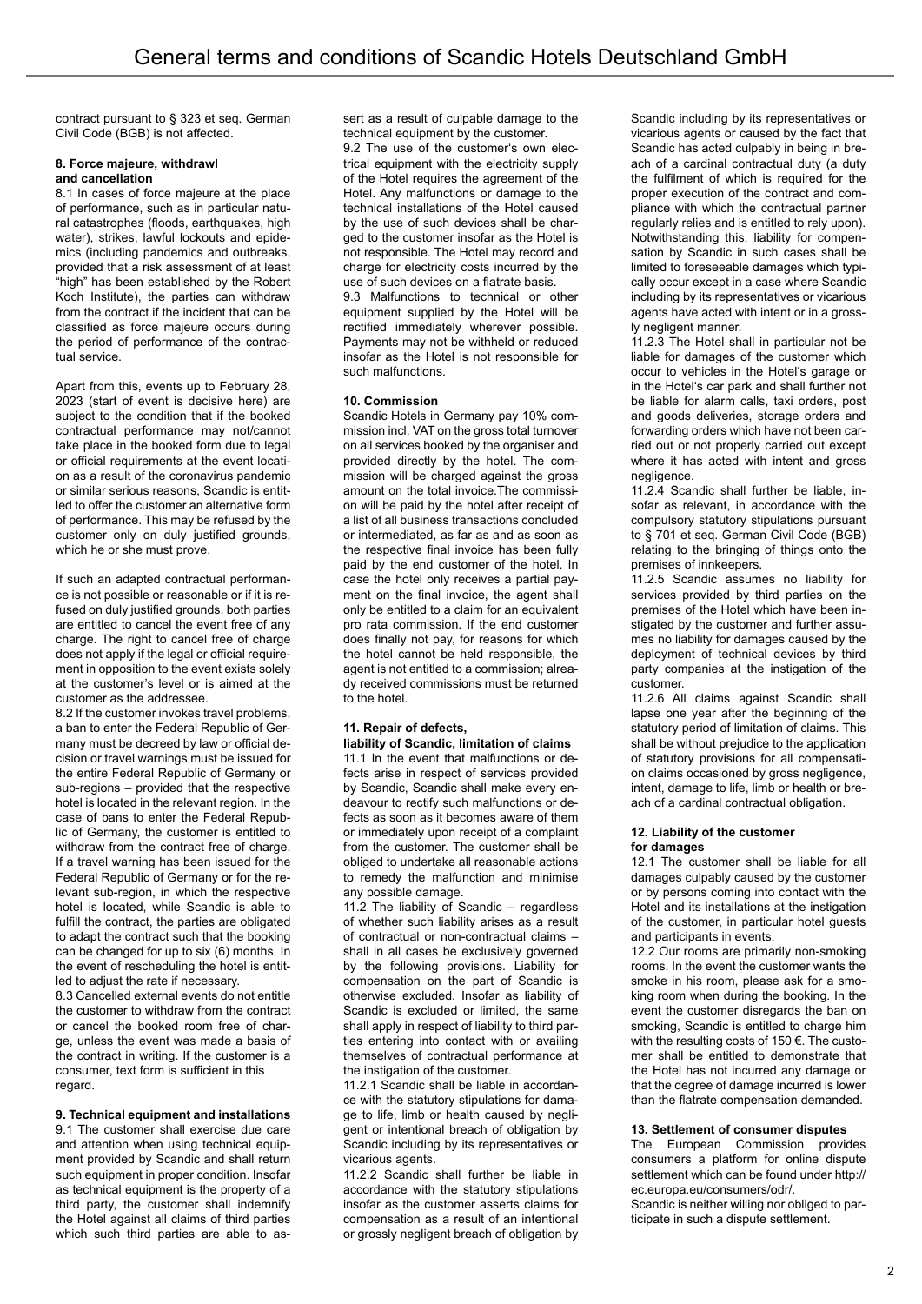contract pursuant to § 323 et seq. German Civil Code (BGB) is not affected.

## **8. Force majeure, withdrawl and cancellation**

8.1 In cases of force majeure at the place of performance, such as in particular natural catastrophes (floods, earthquakes, high water), strikes, lawful lockouts and epidemics (including pandemics and outbreaks, provided that a risk assessment of at least "high" has been established by the Robert Koch Institute), the parties can withdraw from the contract if the incident that can be classified as force majeure occurs during the period of performance of the contractual service.

Apart from this, events up to February 28, 2023 (start of event is decisive here) are subject to the condition that if the booked contractual performance may not/cannot take place in the booked form due to legal or official requirements at the event location as a result of the coronavirus pandemic or similar serious reasons, Scandic is entitled to offer the customer an alternative form of performance. This may be refused by the customer only on duly justified grounds, which he or she must prove.

If such an adapted contractual performance is not possible or reasonable or if it is refused on duly justified grounds, both parties are entitled to cancel the event free of any charge. The right to cancel free of charge does not apply if the legal or official requirement in opposition to the event exists solely at the customer's level or is aimed at the customer as the addressee.

8.2 If the customer invokes travel problems, a ban to enter the Federal Republic of Germany must be decreed by law or official decision or travel warnings must be issued for the entire Federal Republic of Germany or sub-regions – provided that the respective hotel is located in the relevant region. In the case of bans to enter the Federal Republic of Germany, the customer is entitled to withdraw from the contract free of charge. If a travel warning has been issued for the Federal Republic of Germany or for the relevant sub-region, in which the respective hotel is located, while Scandic is able to fulfill the contract, the parties are obligated to adapt the contract such that the booking can be changed for up to six (6) months. In the event of rescheduling the hotel is entitled to adjust the rate if necessary.

8.3 Cancelled external events do not entitle the customer to withdraw from the contract or cancel the booked room free of charge, unless the event was made a basis of the contract in writing. If the customer is a consumer, text form is sufficient in this regard

**9. Technical equipment and installations** 9.1 The customer shall exercise due care and attention when using technical equipment provided by Scandic and shall return such equipment in proper condition. Insofar as technical equipment is the property of a third party, the customer shall indemnify the Hotel against all claims of third parties which such third parties are able to assert as a result of culpable damage to the technical equipment by the customer.

9.2 The use of the customer's own electrical equipment with the electricity supply of the Hotel requires the agreement of the Hotel. Any malfunctions or damage to the technical installations of the Hotel caused by the use of such devices shall be charged to the customer insofar as the Hotel is not responsible. The Hotel may record and charge for electricity costs incurred by the use of such devices on a flatrate basis.

9.3 Malfunctions to technical or other equipment supplied by the Hotel will be rectified immediately wherever possible. Payments may not be withheld or reduced insofar as the Hotel is not responsible for such malfunctions.

## **10. Commission**

Scandic Hotels in Germany pay 10% commission incl. VAT on the gross total turnover on all services booked by the organiser and provided directly by the hotel. The commission will be charged against the gross amount on the total invoice.The commission will be paid by the hotel after receipt of a list of all business transactions concluded or intermediated, as far as and as soon as the respective final invoice has been fully paid by the end customer of the hotel. In case the hotel only receives a partial payment on the final invoice, the agent shall only be entitled to a claim for an equivalent pro rata commission. If the end customer does finally not pay, for reasons for which the hotel cannot be held responsible, the agent is not entitled to a commission; already received commissions must be returned to the hotel.

# **11. Repair of defects,**

## **liability of Scandic, limitation of claims**

11.1 In the event that malfunctions or defects arise in respect of services provided by Scandic, Scandic shall make every endeavour to rectify such malfunctions or defects as soon as it becomes aware of them or immediately upon receipt of a complaint from the customer. The customer shall be obliged to undertake all reasonable actions to remedy the malfunction and minimise any possible damage.

11.2 The liability of Scandic – regardless of whether such liability arises as a result of contractual or non-contractual claims – shall in all cases be exclusively governed by the following provisions. Liability for compensation on the part of Scandic is otherwise excluded. Insofar as liability of Scandic is excluded or limited, the same shall apply in respect of liability to third parties entering into contact with or availing themselves of contractual performance at the instigation of the customer.

11.2.1 Scandic shall be liable in accordance with the statutory stipulations for damage to life, limb or health caused by negligent or intentional breach of obligation by Scandic including by its representatives or vicarious agents.

11.2.2 Scandic shall further be liable in accordance with the statutory stipulations insofar as the customer asserts claims for compensation as a result of an intentional or grossly negligent breach of obligation by Scandic including by its representatives or vicarious agents or caused by the fact that Scandic has acted culpably in being in breach of a cardinal contractual duty (a duty the fulfilment of which is required for the proper execution of the contract and compliance with which the contractual partner regularly relies and is entitled to rely upon). Notwithstanding this, liability for compensation by Scandic in such cases shall be limited to foreseeable damages which typically occur except in a case where Scandic including by its representatives or vicarious agents have acted with intent or in a grossly negligent manner.

11.2.3 The Hotel shall in particular not be liable for damages of the customer which occur to vehicles in the Hotel's garage or in the Hotel's car park and shall further not be liable for alarm calls, taxi orders, post and goods deliveries, storage orders and forwarding orders which have not been carried out or not properly carried out except where it has acted with intent and gross negligence.

11.2.4 Scandic shall further be liable, insofar as relevant, in accordance with the compulsory statutory stipulations pursuant to § 701 et seq. German Civil Code (BGB) relating to the bringing of things onto the premises of innkeepers.

11.2.5 Scandic assumes no liability for services provided by third parties on the premises of the Hotel which have been instigated by the customer and further assumes no liability for damages caused by the deployment of technical devices by third party companies at the instigation of the customer.

11.2.6 All claims against Scandic shall lapse one year after the beginning of the statutory period of limitation of claims. This shall be without prejudice to the application of statutory provisions for all compensation claims occasioned by gross negligence, intent, damage to life, limb or health or breach of a cardinal contractual obligation.

#### **12. Liability of the customer for damages**

12.1 The customer shall be liable for all damages culpably caused by the customer or by persons coming into contact with the Hotel and its installations at the instigation of the customer, in particular hotel guests and participants in events.

12.2 Our rooms are primarily non-smoking rooms. In the event the customer wants the smoke in his room, please ask for a smoking room when during the booking. In the event the customer disregards the ban on smoking, Scandic is entitled to charge him with the resulting costs of 150 €. The customer shall be entitled to demonstrate that the Hotel has not incurred any damage or that the degree of damage incurred is lower than the flatrate compensation demanded.

#### **13. Settlement of consumer disputes**

The European Commission provides consumers a platform for online dispute settlement which can be found under http:// ec.europa.eu/consumers/odr/.

Scandic is neither willing nor obliged to participate in such a dispute settlement.